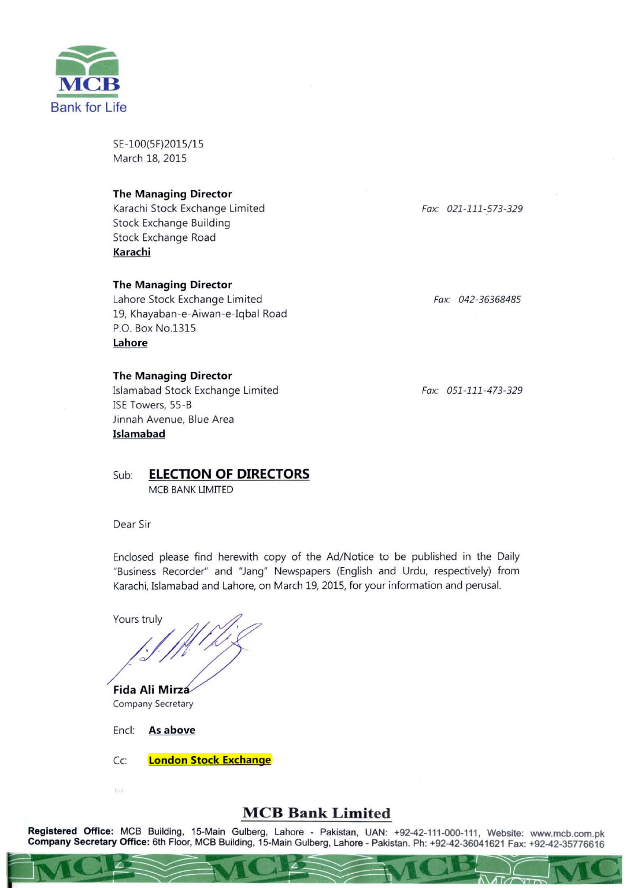

SE-100(5F)2015/15 March 18, 2015

## **The Managing Director**

Karachi Stock Exchange Limited Stock Exchange Building Stock Exchange Road **Karachi** 

### **The Managing Director**

Lahore Stock Exchange Limited 19, Khayaban-e-Aiwan-e-Iqbal Road P.O. Box No.1315 **Lahore** 

## **The Managing Director**

Islamabad Stock Exchange Limited ISE Towers, 55 -B Jinnah Avenue, Blue Area **Islamabad** 

Sub: **ELECTION OF DIRECTORS** MCB BANK LIMITED

Dear Sir

Enclosed please find herewith copy of the Ad/ Notice to be published in the Daily "Business Recorder" and "Jang" Newspapers (English and Urdu, respectively) from Karachi, Islamabad and Lahore, on March 19, 2015, for your information and perusal.

Yours truly

/*//////////* 

**Fida Ali Mirza Company Secretary** 

Encl: **As above** 

Cc: **London Stock Exchange** 

## **MeB Bank Limited**

**Registered Office:** MCB Building, 15-Main Gulberg, Lahore - Pakistan, UAN: +92-42-111-000-111, Website: www.mcb.com.pk **Company Secretary Office:** 6th Floor, MCB Building, 15-Main Gulberg, Lahore - Pakistan. Ph: +92-42-36041621 Fax: +92-42-35776616

*Fax. 021 -111-573-329* 

*Fax. 042-36368485* 

*Fax: 051 -111 -473-329*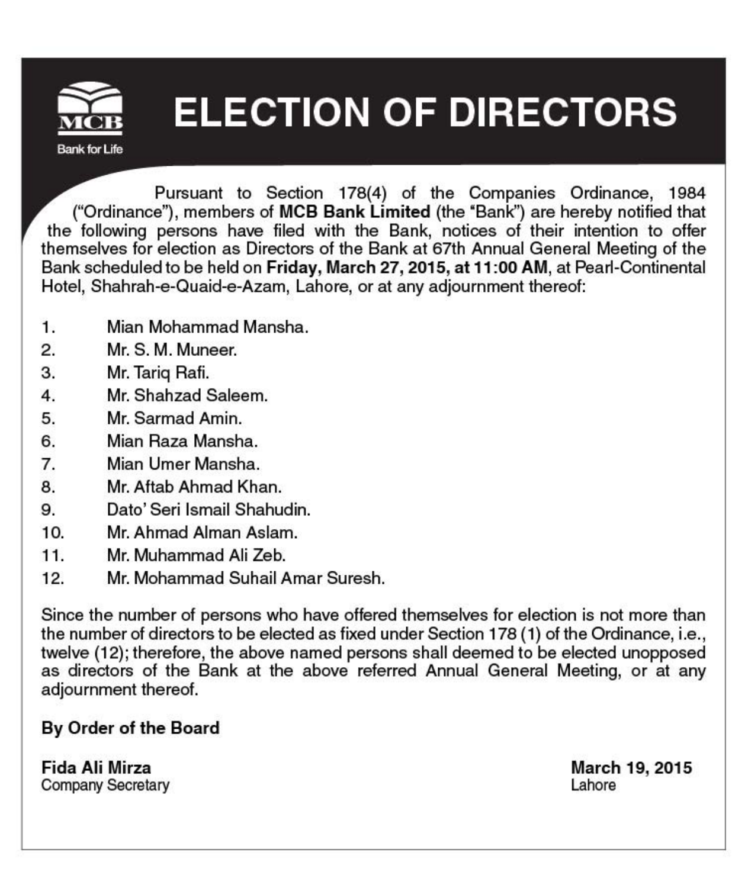

# **ELECTION OF DIRECTORS**

Pursuant to Section 178(4) of the Companies Ordinance, 1984 ("Ordinance"), members of MCB Bank Limited (the 'Bank") are hereby notified that the following persons have filed with the Bank, notices of their intention to offer themselves for election as Directors of the Bank at 67th Annual General Meeting of the Bank scheduled to be held on Friday, March 27, 2015, at 11 :00 AM, at Pearf-Continental Hotel, Shahrah-e-Quaid-e-Azam, Lahore, or at any adjournment thereof:

- 1. Mian Mohammad Mansha.
- 2 . Mr. S. M. Muneer.
- 3. Mr. Tariq Rafi.
- 4 . Mr. Shahzad Saleem.
- 5 . Mr. Sarmad Amin.
- 6 . Mian Raza Mansha.
- 7 . Mian Umer Mansha.
- 8 . Mr. Aftab Ahmad Khan.
- 9 . Dato'Seri Ismail Shahudin.
- 10. Mr. Ahmad Alman Aslam.
- 11 Mr. Muhammad Ali Zeb.
- 12. Mr. Mohammad Suhail Amar Suresh.

Since the number of persons who have offered themselves for election is not more than the number of directors to be elected as fixed under Section 178 (1) of the Ordinance, i.e., twelve (12); therefore, the above named persons shall deemed to be elected unopposed as directors of the Bank at the above referred Annual General Meeting, or at any adjournment thereof.

#### By Order of the Board

Fida Ali Mirza Company Secretary March 19, 2015 Lahore